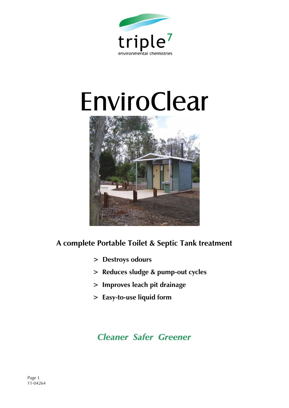

# EnviroClear



## **A complete Portable Toilet & Septic Tank treatment**

- **> Destroys odours**
- **> Reduces sludge & pump-out cycles**
- **> Improves leach pit drainage**
- **> Easy-to-use liquid form**

# *Cleaner Safer Greener*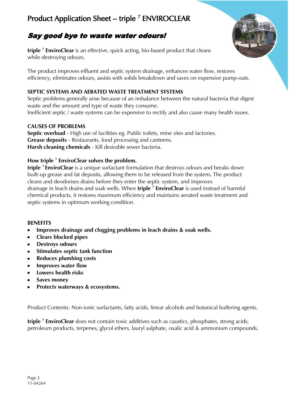## Product Application Sheet – triple <sup>7</sup> ENVIROCLEAR

## Say good bye to waste water odours!

**triple <sup>7</sup> EnviroClear** is an effective, quick acting, bio-based product that cleans while destroying odours.

The product improves effluent and septic system drainage, enhances water flow, restores efficiency, eliminates odours, assists with solids breakdown and saves on expensive pump-outs.

#### **SEPTIC SYSTEMS AND AERATED WASTE TREATMENT SYSTEMS**

Septic problems generally arise because of an imbalance between the natural bacteria that digest waste and the amount and type of waste they consume. Inefficient septic / waste systems can be expensive to rectify and also cause many health issues.

#### **CAUSES OF PROBLEMS**

Septic overload - High use of facilities eg. Public toilets, mine sites and factories. **Grease deposits** - Restaurants, food processing and canteens. **Harsh cleaning chemicals** - Kill desirable sewer bacteria.

#### **How triple <sup>7</sup> EnviroClear solves the problem.**

**triple <sup>7</sup>EnviroClear** is a unique surfactant formulation that destroys odours and breaks down built-up grease and fat deposits, allowing them to be released from the system**.** The product cleans and deodorises drains before they enter the septic system, and improves drainage in leach drains and soak wells. When **triple <sup>7</sup> EnviroClear** is used instead of harmful chemical products, it restores maximum efficiency and maintains aerated waste treatment and septic systems in optimum working condition.

#### **BENEFITS**

- **Improves drainage and clogging problems in leach drains & soak wells.**  $\bullet$
- **Clears blocked pipes**  $\bullet$
- **Destroys odours**
- **Stimulates septic tank function**
- **Reduces plumbing costs**
- **Improves water flow**
- **Lowers health risks**
- **Saves money**
- **Protects waterways & ecosystems.**  $\bullet$

Product Contents: Non-ionic surfactants, fatty acids, linear alcohols and botanical buffering agents.

**triple <sup>7</sup> EnviroClear** does not contain toxic additives such as caustics, phosphates, strong acids, petroleum products, terpenes, glycol ethers, lauryl sulphate, oxalic acid & ammonium compounds.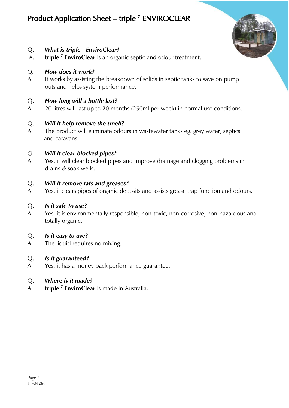## Product Application Sheet – triple <sup>7</sup> ENVIROCLEAR



## Q. *What is triple <sup>7</sup> EnviroClear?*

A. **triple <sup>7</sup> EnviroClear** is an organic septic and odour treatment.

#### Q. *How does it work?*

A. It works by assisting the breakdown of solids in septic tanks to save on pump outs and helps system performance.

#### Q. *How long will a bottle last?*

A. 20 litres will last up to 20 months (250ml per week) in normal use conditions.

#### Q. *Will it help remove the smell?*

A. The product will eliminate odours in wastewater tanks eg. grey water, septics and caravans.

#### *Q. Will it clear blocked pipes?*

A. Yes, it will clear blocked pipes and improve drainage and clogging problems in drains & soak wells.

#### Q. *Will it remove fats and greases?*

A. Yes, it clears pipes of organic deposits and assists grease trap function and odours.

#### Q. *Is it safe to use?*

A. Yes, it is environmentally responsible, non-toxic, non-corrosive, non-hazardous and totally organic.

#### Q. *Is it easy to use?*

A. The liquid requires no mixing.

#### Q. *Is it guaranteed?*

A. Yes, it has a money back performance guarantee.

#### Q. *Where is it made?*

A. **triple <sup>7</sup> EnviroClear** is made in Australia.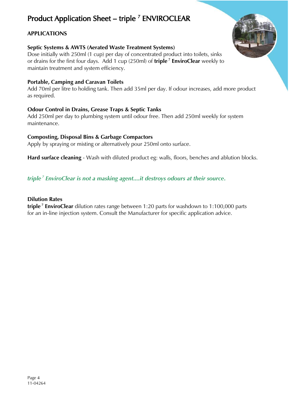# Product Application Sheet – triple<sup>7</sup> ENVIROCLEAR

### **APPLICATIONS**

#### **Septic Systems & AWTS (Aerated Waste Treatment Systems)**

Dose initially with 250ml (1 cup) per day of concentrated product into toilets, sinks or drains for the first four days. Add 1 cup (250ml) of **triple <sup>7</sup> EnviroClear** weekly to maintain treatment and system efficiency.

#### **Portable, Camping and Caravan Toilets**

Add 70ml per litre to holding tank. Then add 35ml per day. If odour increases, add more product as required.

#### **Odour Control in Drains, Grease Traps & Septic Tanks**

Add 250ml per day to plumbing system until odour free. Then add 250ml weekly for system maintenance.

#### **Composting, Disposal Bins & Garbage Compactors**

Apply by spraying or misting or alternatively pour 250ml onto surface.

**Hard surface cleaning** - Wash with diluted product eg: walls, floors, benches and ablution blocks.

#### *triple <sup>7</sup> EnviroClear is not a masking agent....it destroys odours at their source***.**

#### **Dilution Rates**

**triple <sup>7</sup> EnviroClear** dilution rates range between 1:20 parts for washdown to 1:100,000 parts for an in-line injection system. Consult the Manufacturer for specific application advice.

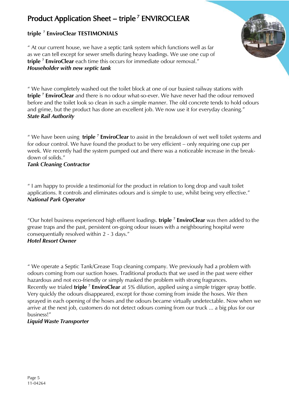## Product Application Sheet – triple<sup>7</sup> ENVIROCLEAR

## **triple <sup>7</sup> EnviroClear TESTIMONIALS**

" At our current house, we have a septic tank system which functions well as far as we can tell except for sewer smells during heavy loadings. We use one cup of **triple <sup>7</sup> EnviroClear** each time this occurs for immediate odour removal." *Householder with new septic tank*

" We have completely washed out the toilet block at one of our busiest railway stations with **triple <sup>7</sup> EnviroClear** and there is no odour what-so-ever. We have never had the odour removed before and the toilet look so clean in such a simple manner. The old concrete tends to hold odours and grime, but the product has done an excellent job. We now use it for everyday cleaning." *State Rail Authority*

" We have been using **triple <sup>7</sup> EnviroClear** to assist in the breakdown of wet well toilet systems and for odour control. We have found the product to be very efficient – only requiring one cup per week. We recently had the system pumped out and there was a noticeable increase in the breakdown of solids."

#### *Tank Cleaning Contractor*

" I am happy to provide a testimonial for the product in relation to long drop and vault toilet applications. It controls and eliminates odours and is simple to use, whilst being very effective." *National Park Operator*

"Our hotel business experienced high effluent loadings. **triple <sup>7</sup> EnviroClear** was then added to the grease traps and the past, persistent on-going odour issues with a neighbouring hospital were consequentially resolved within 2 - 3 days." *Hotel Resort Owner*

#### " We operate a Septic Tank/Grease Trap cleaning company. We previously had a problem with odours coming from our suction hoses. Traditional products that we used in the past were either hazardous and not eco-friendly or simply masked the problem with strong fragrances. Recently we trialed **triple<sup>7</sup> EnviroClear** at 5% dilution, applied using a simple trigger spray bottle. Very quickly the odours disappeared, except for those coming from inside the hoses. We then sprayed in each opening of the hoses and the odours became virtually undetectable. Now when we arrive at the next job, customers do not detect odours coming from our truck ... a big plus for our business!"

#### *Liquid Waste Transporter*